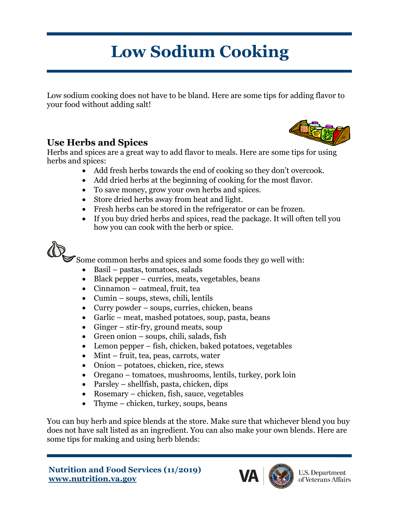# **Low Sodium Cooking**

Low sodium cooking does not have to be bland. Here are some tips for adding flavor to your food without adding salt!

## **Use Herbs and Spices**

Herbs and spices are a great way to add flavor to meals. Here are some tips for using herbs and spices:

- Add fresh herbs towards the end of cooking so they don't overcook.
- Add dried herbs at the beginning of cooking for the most flavor.
- To save money, grow your own herbs and spices.
- Store dried herbs away from heat and light.
- Fresh herbs can be stored in the refrigerator or can be frozen.
- If you buy dried herbs and spices, read the package. It will often tell you how you can cook with the herb or spice.

Some common herbs and spices and some foods they go well with:

- Basil pastas, tomatoes, salads
- Black pepper curries, meats, vegetables, beans
- Cinnamon oatmeal, fruit, tea
- Cumin soups, stews, chili, lentils
- Curry powder soups, curries, chicken, beans
- Garlic meat, mashed potatoes, soup, pasta, beans
- Ginger stir-fry, ground meats, soup
- Green onion soups, chili, salads, fish
- Lemon pepper fish, chicken, baked potatoes, vegetables
- Mint fruit, tea, peas, carrots, water
- Onion potatoes, chicken, rice, stews
- Oregano tomatoes, mushrooms, lentils, turkey, pork loin
- Parsley shellfish, pasta, chicken, dips
- Rosemary chicken, fish, sauce, vegetables
- Thyme chicken, turkey, soups, beans

You can buy herb and spice blends at the store. Make sure that whichever blend you buy does not have salt listed as an ingredient. You can also make your own blends. Here are some tips for making and using herb blends:



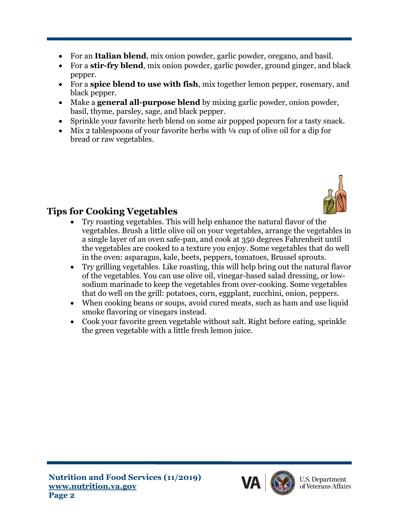- For an **Italian blend**, mix onion powder, garlic powder, oregano, and basil.
- For a **stir-fry blend**, mix onion powder, garlic powder, ground ginger, and black pepper.
- For a **spice blend to use with fish**, mix together lemon pepper, rosemary, and black pepper.
- Make a **general all-purpose blend** by mixing garlic powder, onion powder, basil, thyme, parsley, sage, and black pepper.
- Sprinkle your favorite herb blend on some air popped popcorn for a tasty snack.
- Mix 2 tablespoons of your favorite herbs with  $\frac{1}{4}$  cup of olive oil for a dip for bread or raw vegetables.



# **Tips for Cooking Vegetables**

- Try roasting vegetables. This will help enhance the natural flavor of the vegetables. Brush a little olive oil on your vegetables, arrange the vegetables in a single layer of an oven safe-pan, and cook at 350 degrees Fahrenheit until the vegetables are cooked to a texture you enjoy. Some vegetables that do well in the oven: asparagus, kale, beets, peppers, tomatoes, Brussel sprouts.
- Try grilling vegetables. Like roasting, this will help bring out the natural flavor of the vegetables. You can use olive oil, vinegar-based salad dressing, or lowsodium marinade to keep the vegetables from over-cooking. Some vegetables that do well on the grill: potatoes, corn, eggplant, zucchini, onion, peppers.
- When cooking beans or soups, avoid cured meats, such as ham and use liquid smoke flavoring or vinegars instead.
- Cook your favorite green vegetable without salt. Right before eating, sprinkle the green vegetable with a little fresh lemon juice.



**U.S. Department** of Veterans Affairs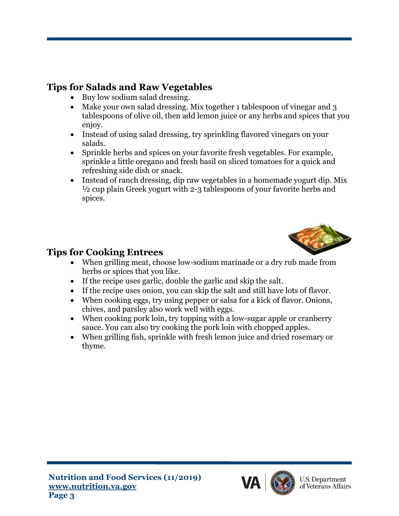# **Tips for Salads and Raw Vegetables**

- Buy low sodium salad dressing.
- Make your own salad dressing. Mix together 1 tablespoon of vinegar and 3 tablespoons of olive oil, then add lemon juice or any herbs and spices [that yo](https://creativecommons.org/licenses/by-sa/3.0/)u enjoy.
- Instead of using salad dressing, try sprinkling flavored vinegars o[n your](https://creativecommons.org/licenses/by-sa/3.0/) salads.
- Sprinkle herbs and spices on your favorite fresh vegetables. For example, sprinkle a little oregano and fresh basil on sliced tomatoes for a quick and refreshing side dish or snack.
- Instead of ranch dressing, dip raw vegetables in a homemade yogurt dip. Mix ½ cup plain Greek yogurt with 2-3 tablespoons of your favorite herbs and spices.



#### **Tips for Cooking Entrees**

- When grilling meat, choose low-sodium marinade or a dry rub made from herbs or spices that you like.
- If the recipe uses garlic, double the garlic and skip the salt.
- If the recipe uses onion, you can skip the salt and still have lots of flavor.
- When cooking eggs, try using pepper or salsa for a kick of flavor. Onions, chives, and parsley also work well with eggs.
- When cooking pork loin, try topping with a low-sugar apple or cranberry sauce. You can also try cooking the pork loin with chopped apples.
- When grilling fish, sprinkle with fresh lemon juice and dried rosemary or thyme.



**U.S. Department** of Veterans Affairs